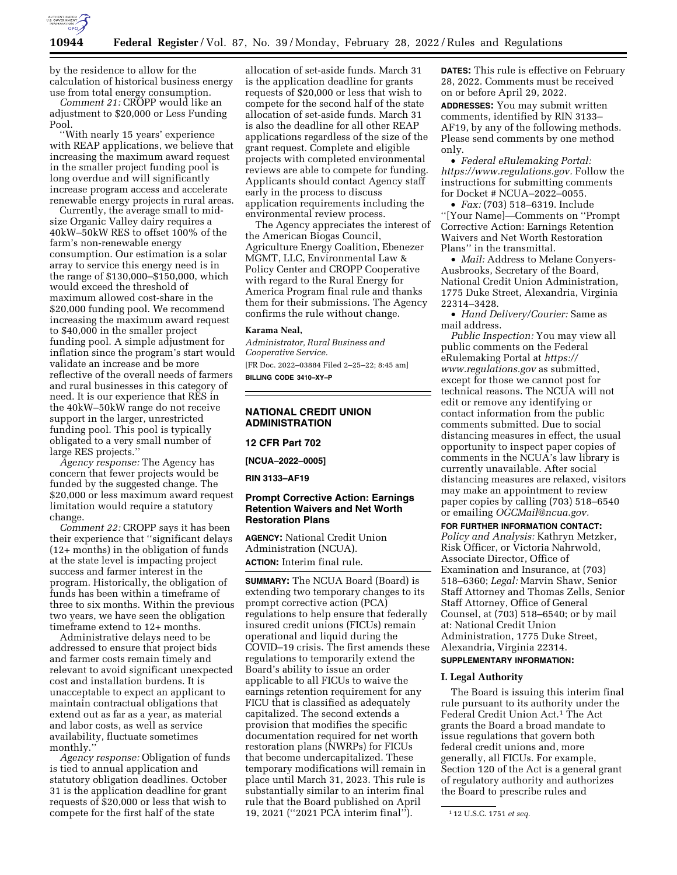

by the residence to allow for the calculation of historical business energy use from total energy consumption.

*Comment 21:* CROPP would like an adjustment to \$20,000 or Less Funding Pool.

''With nearly 15 years' experience with REAP applications, we believe that increasing the maximum award request in the smaller project funding pool is long overdue and will significantly increase program access and accelerate renewable energy projects in rural areas.

Currently, the average small to midsize Organic Valley dairy requires a 40kW–50kW RES to offset 100% of the farm's non-renewable energy consumption. Our estimation is a solar array to service this energy need is in the range of \$130,000–\$150,000, which would exceed the threshold of maximum allowed cost-share in the \$20,000 funding pool. We recommend increasing the maximum award request to \$40,000 in the smaller project funding pool. A simple adjustment for inflation since the program's start would validate an increase and be more reflective of the overall needs of farmers and rural businesses in this category of need. It is our experience that RES in the 40kW–50kW range do not receive support in the larger, unrestricted funding pool. This pool is typically obligated to a very small number of large RES projects.''

*Agency response:* The Agency has concern that fewer projects would be funded by the suggested change. The \$20,000 or less maximum award request limitation would require a statutory change.

*Comment 22:* CROPP says it has been their experience that ''significant delays (12+ months) in the obligation of funds at the state level is impacting project success and farmer interest in the program. Historically, the obligation of funds has been within a timeframe of three to six months. Within the previous two years, we have seen the obligation timeframe extend to 12+ months.

Administrative delays need to be addressed to ensure that project bids and farmer costs remain timely and relevant to avoid significant unexpected cost and installation burdens. It is unacceptable to expect an applicant to maintain contractual obligations that extend out as far as a year, as material and labor costs, as well as service availability, fluctuate sometimes monthly.'

*Agency response:* Obligation of funds is tied to annual application and statutory obligation deadlines. October 31 is the application deadline for grant requests of \$20,000 or less that wish to compete for the first half of the state

allocation of set-aside funds. March 31 is the application deadline for grants requests of \$20,000 or less that wish to compete for the second half of the state allocation of set-aside funds. March 31 is also the deadline for all other REAP applications regardless of the size of the grant request. Complete and eligible projects with completed environmental reviews are able to compete for funding. Applicants should contact Agency staff early in the process to discuss application requirements including the environmental review process.

The Agency appreciates the interest of the American Biogas Council, Agriculture Energy Coalition, Ebenezer MGMT, LLC, Environmental Law & Policy Center and CROPP Cooperative with regard to the Rural Energy for America Program final rule and thanks them for their submissions. The Agency confirms the rule without change.

#### **Karama Neal,**

*Administrator, Rural Business and Cooperative Service.*  [FR Doc. 2022–03884 Filed 2–25–22; 8:45 am] **BILLING CODE 3410–XY–P** 

# **NATIONAL CREDIT UNION ADMINISTRATION**

# **12 CFR Part 702**

**[NCUA–2022–0005]** 

**RIN 3133–AF19** 

# **Prompt Corrective Action: Earnings Retention Waivers and Net Worth Restoration Plans**

**AGENCY:** National Credit Union Administration (NCUA). **ACTION:** Interim final rule.

**SUMMARY:** The NCUA Board (Board) is extending two temporary changes to its prompt corrective action (PCA) regulations to help ensure that federally insured credit unions (FICUs) remain operational and liquid during the COVID–19 crisis. The first amends these regulations to temporarily extend the Board's ability to issue an order applicable to all FICUs to waive the earnings retention requirement for any FICU that is classified as adequately capitalized. The second extends a provision that modifies the specific documentation required for net worth restoration plans (NWRPs) for FICUs that become undercapitalized. These temporary modifications will remain in place until March 31, 2023. This rule is substantially similar to an interim final rule that the Board published on April 19, 2021 (''2021 PCA interim final'').

**DATES:** This rule is effective on February 28, 2022. Comments must be received on or before April 29, 2022.

**ADDRESSES:** You may submit written comments, identified by RIN 3133– AF19, by any of the following methods. Please send comments by one method only.

• *Federal eRulemaking Portal: [https://www.regulations.gov.](https://www.regulations.gov)* Follow the instructions for submitting comments for Docket # NCUA–2022–0055.

• *Fax:* (703) 518–6319. Include ''[Your Name]—Comments on ''Prompt Corrective Action: Earnings Retention Waivers and Net Worth Restoration Plans'' in the transmittal.

• *Mail:* Address to Melane Conyers-Ausbrooks, Secretary of the Board, National Credit Union Administration, 1775 Duke Street, Alexandria, Virginia 22314–3428.

• *Hand Delivery/Courier:* Same as mail address.

*Public Inspection:* You may view all public comments on the Federal eRulemaking Portal at *[https://](https://www.regulations.gov) [www.regulations.gov](https://www.regulations.gov)* as submitted, except for those we cannot post for technical reasons. The NCUA will not edit or remove any identifying or contact information from the public comments submitted. Due to social distancing measures in effect, the usual opportunity to inspect paper copies of comments in the NCUA's law library is currently unavailable. After social distancing measures are relaxed, visitors may make an appointment to review paper copies by calling (703) 518–6540 or emailing *[OGCMail@ncua.gov.](mailto:OGCMail@ncua.gov)* 

**FOR FURTHER INFORMATION CONTACT:**  *Policy and Analysis:* Kathryn Metzker, Risk Officer, or Victoria Nahrwold, Associate Director, Office of Examination and Insurance, at (703) 518–6360; *Legal:* Marvin Shaw, Senior Staff Attorney and Thomas Zells, Senior Staff Attorney, Office of General Counsel, at (703) 518–6540; or by mail at: National Credit Union Administration, 1775 Duke Street, Alexandria, Virginia 22314.

# **SUPPLEMENTARY INFORMATION:**

# **I. Legal Authority**

The Board is issuing this interim final rule pursuant to its authority under the Federal Credit Union Act.1 The Act grants the Board a broad mandate to issue regulations that govern both federal credit unions and, more generally, all FICUs. For example, Section 120 of the Act is a general grant of regulatory authority and authorizes the Board to prescribe rules and

<sup>1</sup> 12 U.S.C. 1751 *et seq.*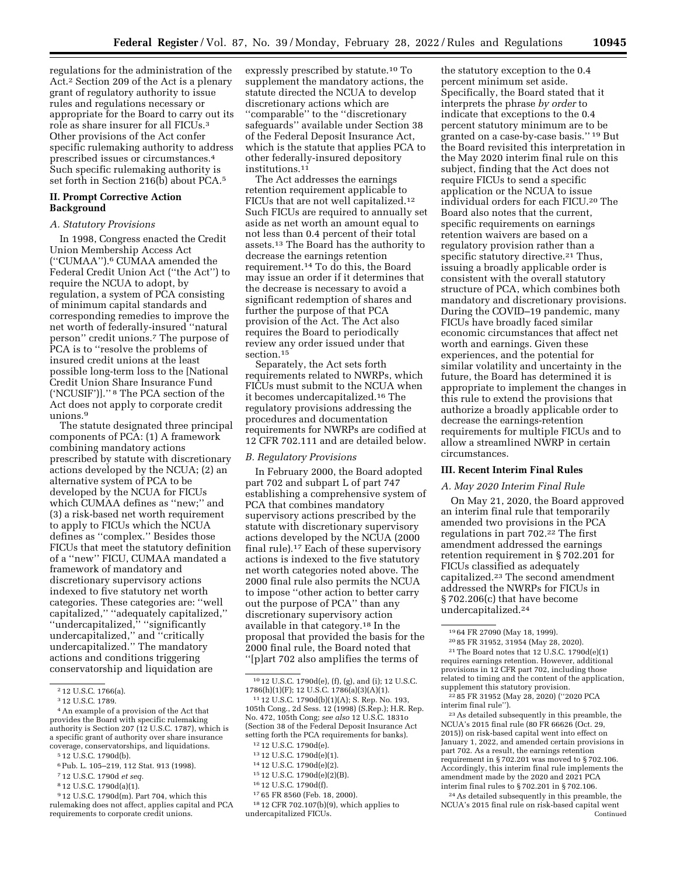regulations for the administration of the Act.2 Section 209 of the Act is a plenary grant of regulatory authority to issue rules and regulations necessary or appropriate for the Board to carry out its role as share insurer for all FICUs.3 Other provisions of the Act confer specific rulemaking authority to address prescribed issues or circumstances.4 Such specific rulemaking authority is set forth in Section 216(b) about PCA.<sup>5</sup>

# **II. Prompt Corrective Action Background**

# *A. Statutory Provisions*

In 1998, Congress enacted the Credit Union Membership Access Act (''CUMAA'').6 CUMAA amended the Federal Credit Union Act (''the Act'') to require the NCUA to adopt, by regulation, a system of PCA consisting of minimum capital standards and corresponding remedies to improve the net worth of federally-insured ''natural person'' credit unions.7 The purpose of PCA is to ''resolve the problems of insured credit unions at the least possible long-term loss to the [National Credit Union Share Insurance Fund ('NCUSIF')].'' 8 The PCA section of the Act does not apply to corporate credit unions.9

The statute designated three principal components of PCA: (1) A framework combining mandatory actions prescribed by statute with discretionary actions developed by the NCUA; (2) an alternative system of PCA to be developed by the NCUA for FICUs which CUMAA defines as ''new;'' and (3) a risk-based net worth requirement to apply to FICUs which the NCUA defines as ''complex.'' Besides those FICUs that meet the statutory definition of a ''new'' FICU, CUMAA mandated a framework of mandatory and discretionary supervisory actions indexed to five statutory net worth categories. These categories are: ''well capitalized,'' ''adequately capitalized,'' ''undercapitalized,'' ''significantly undercapitalized,'' and ''critically undercapitalized.'' The mandatory actions and conditions triggering conservatorship and liquidation are

- 5 12 U.S.C. 1790d(b).
- 6Pub. L. 105–219, 112 Stat. 913 (1998).
- 7 12 U.S.C. 1790d *et seq.*
- 8 12 U.S.C. 1790d(a)(1).
- 9 12 U.S.C. 1790d(m). Part 704, which this rulemaking does not affect, applies capital and PCA requirements to corporate credit unions.

expressly prescribed by statute.10 To supplement the mandatory actions, the statute directed the NCUA to develop discretionary actions which are ''comparable'' to the ''discretionary safeguards'' available under Section 38 of the Federal Deposit Insurance Act, which is the statute that applies PCA to other federally-insured depository institutions.11

The Act addresses the earnings retention requirement applicable to FICUs that are not well capitalized.12 Such FICUs are required to annually set aside as net worth an amount equal to not less than 0.4 percent of their total assets.13 The Board has the authority to decrease the earnings retention requirement.14 To do this, the Board may issue an order if it determines that the decrease is necessary to avoid a significant redemption of shares and further the purpose of that PCA provision of the Act. The Act also requires the Board to periodically review any order issued under that section.15

Separately, the Act sets forth requirements related to NWRPs, which FICUs must submit to the NCUA when it becomes undercapitalized.16 The regulatory provisions addressing the procedures and documentation requirements for NWRPs are codified at 12 CFR 702.111 and are detailed below.

# *B. Regulatory Provisions*

In February 2000, the Board adopted part 702 and subpart L of part 747 establishing a comprehensive system of PCA that combines mandatory supervisory actions prescribed by the statute with discretionary supervisory actions developed by the NCUA (2000 final rule).17 Each of these supervisory actions is indexed to the five statutory net worth categories noted above. The 2000 final rule also permits the NCUA to impose ''other action to better carry out the purpose of PCA'' than any discretionary supervisory action available in that category.18 In the proposal that provided the basis for the 2000 final rule, the Board noted that ''[p]art 702 also amplifies the terms of

- 12 12 U.S.C. 1790d(e).
- 13 12 U.S.C. 1790d(e)(1).
- 14 12 U.S.C. 1790d(e)(2).
- 15 12 U.S.C. 1790d(e)(2)(B).
- 16 12 U.S.C. 1790d(f).
- 17 65 FR 8560 (Feb. 18, 2000).

18 12 CFR 702.107(b)(9), which applies to undercapitalized FICUs.

the statutory exception to the 0.4 percent minimum set aside. Specifically, the Board stated that it interprets the phrase *by order* to indicate that exceptions to the 0.4 percent statutory minimum are to be granted on a case-by-case basis.'' 19 But the Board revisited this interpretation in the May 2020 interim final rule on this subject, finding that the Act does not require FICUs to send a specific application or the NCUA to issue individual orders for each FICU.20 The Board also notes that the current, specific requirements on earnings retention waivers are based on a regulatory provision rather than a specific statutory directive.<sup>21</sup> Thus, issuing a broadly applicable order is consistent with the overall statutory structure of PCA, which combines both mandatory and discretionary provisions. During the COVID–19 pandemic, many FICUs have broadly faced similar economic circumstances that affect net worth and earnings. Given these experiences, and the potential for similar volatility and uncertainty in the future, the Board has determined it is appropriate to implement the changes in this rule to extend the provisions that authorize a broadly applicable order to decrease the earnings-retention requirements for multiple FICUs and to allow a streamlined NWRP in certain circumstances.

# **III. Recent Interim Final Rules**

# *A. May 2020 Interim Final Rule*

On May 21, 2020, the Board approved an interim final rule that temporarily amended two provisions in the PCA regulations in part 702.22 The first amendment addressed the earnings retention requirement in § 702.201 for FICUs classified as adequately capitalized.23 The second amendment addressed the NWRPs for FICUs in § 702.206(c) that have become undercapitalized.24

22 85 FR 31952 (May 28, 2020) (''2020 PCA interim final rule'').

23As detailed subsequently in this preamble, the NCUA's 2015 final rule (80 FR 66626 (Oct. 29, 2015)) on risk-based capital went into effect on January 1, 2022, and amended certain provisions in part 702. As a result, the earnings retention requirement in § 702.201 was moved to § 702.106. Accordingly, this interim final rule implements the amendment made by the 2020 and 2021 PCA interim final rules to § 702.201 in § 702.106.

24As detailed subsequently in this preamble, the NCUA's 2015 final rule on risk-based capital went Continued

<sup>2</sup> 12 U.S.C. 1766(a).

<sup>3</sup> 12 U.S.C. 1789.

<sup>4</sup>An example of a provision of the Act that provides the Board with specific rulemaking authority is Section 207 (12 U.S.C. 1787), which is a specific grant of authority over share insurance coverage, conservatorships, and liquidations.

<sup>10</sup> 12 U.S.C. 1790d(e), (f), (g), and (i); 12 U.S.C. 1786(h)(1)(F); 12 U.S.C. 1786(a)(3)(A)(1).

<sup>11</sup> 12 U.S.C. 1790d(b)(1)(A); S. Rep. No. 193, 105th Cong., 2d Sess. 12 (1998) (S.Rep.); H.R. Rep. No. 472, 105th Cong; *see also* 12 U.S.C. 1831o (Section 38 of the Federal Deposit Insurance Act setting forth the PCA requirements for banks).

<sup>19</sup> 64 FR 27090 (May 18, 1999).

<sup>20</sup> 85 FR 31952, 31954 (May 28, 2020). 21The Board notes that 12 U.S.C. 1790d(e)(1) requires earnings retention. However, additional provisions in 12 CFR part 702, including those related to timing and the content of the application, supplement this statutory provision.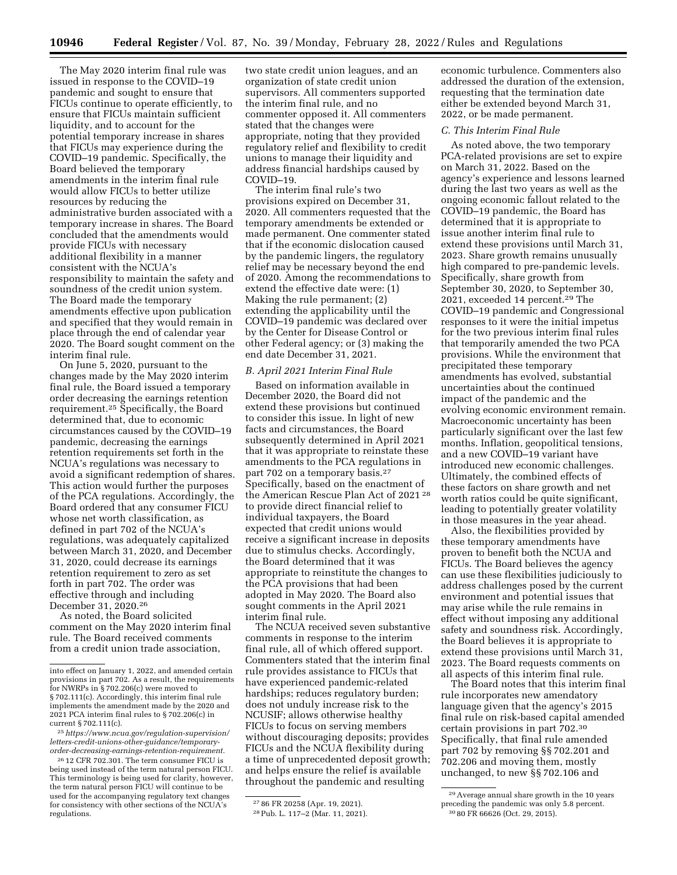The May 2020 interim final rule was issued in response to the COVID–19 pandemic and sought to ensure that FICUs continue to operate efficiently, to ensure that FICUs maintain sufficient liquidity, and to account for the potential temporary increase in shares that FICUs may experience during the COVID–19 pandemic. Specifically, the Board believed the temporary amendments in the interim final rule would allow FICUs to better utilize resources by reducing the administrative burden associated with a temporary increase in shares. The Board concluded that the amendments would provide FICUs with necessary additional flexibility in a manner consistent with the NCUA's responsibility to maintain the safety and soundness of the credit union system. The Board made the temporary amendments effective upon publication and specified that they would remain in place through the end of calendar year 2020. The Board sought comment on the interim final rule.

On June 5, 2020, pursuant to the changes made by the May 2020 interim final rule, the Board issued a temporary order decreasing the earnings retention requirement.25 Specifically, the Board determined that, due to economic circumstances caused by the COVID–19 pandemic, decreasing the earnings retention requirements set forth in the NCUA's regulations was necessary to avoid a significant redemption of shares. This action would further the purposes of the PCA regulations. Accordingly, the Board ordered that any consumer FICU whose net worth classification, as defined in part 702 of the NCUA's regulations, was adequately capitalized between March 31, 2020, and December 31, 2020, could decrease its earnings retention requirement to zero as set forth in part 702. The order was effective through and including December 31, 2020.26

As noted, the Board solicited comment on the May 2020 interim final rule. The Board received comments from a credit union trade association,

two state credit union leagues, and an organization of state credit union supervisors. All commenters supported the interim final rule, and no commenter opposed it. All commenters stated that the changes were appropriate, noting that they provided regulatory relief and flexibility to credit unions to manage their liquidity and address financial hardships caused by COVID–19.

The interim final rule's two provisions expired on December 31, 2020. All commenters requested that the temporary amendments be extended or made permanent. One commenter stated that if the economic dislocation caused by the pandemic lingers, the regulatory relief may be necessary beyond the end of 2020. Among the recommendations to extend the effective date were: (1) Making the rule permanent; (2) extending the applicability until the COVID–19 pandemic was declared over by the Center for Disease Control or other Federal agency; or (3) making the end date December 31, 2021.

#### *B. April 2021 Interim Final Rule*

Based on information available in December 2020, the Board did not extend these provisions but continued to consider this issue. In light of new facts and circumstances, the Board subsequently determined in April 2021 that it was appropriate to reinstate these amendments to the PCA regulations in part 702 on a temporary basis.<sup>27</sup> Specifically, based on the enactment of the American Rescue Plan Act of 2021 28 to provide direct financial relief to individual taxpayers, the Board expected that credit unions would receive a significant increase in deposits due to stimulus checks. Accordingly, the Board determined that it was appropriate to reinstitute the changes to the PCA provisions that had been adopted in May 2020. The Board also sought comments in the April 2021 interim final rule.

The NCUA received seven substantive comments in response to the interim final rule, all of which offered support. Commenters stated that the interim final rule provides assistance to FICUs that have experienced pandemic-related hardships; reduces regulatory burden; does not unduly increase risk to the NCUSIF; allows otherwise healthy FICUs to focus on serving members without discouraging deposits; provides FICUs and the NCUA flexibility during a time of unprecedented deposit growth; and helps ensure the relief is available throughout the pandemic and resulting

economic turbulence. Commenters also addressed the duration of the extension, requesting that the termination date either be extended beyond March 31, 2022, or be made permanent.

### *C. This Interim Final Rule*

As noted above, the two temporary PCA-related provisions are set to expire on March 31, 2022. Based on the agency's experience and lessons learned during the last two years as well as the ongoing economic fallout related to the COVID–19 pandemic, the Board has determined that it is appropriate to issue another interim final rule to extend these provisions until March 31, 2023. Share growth remains unusually high compared to pre-pandemic levels. Specifically, share growth from September 30, 2020, to September 30, 2021, exceeded 14 percent.29 The COVID–19 pandemic and Congressional responses to it were the initial impetus for the two previous interim final rules that temporarily amended the two PCA provisions. While the environment that precipitated these temporary amendments has evolved, substantial uncertainties about the continued impact of the pandemic and the evolving economic environment remain. Macroeconomic uncertainty has been particularly significant over the last few months. Inflation, geopolitical tensions, and a new COVID–19 variant have introduced new economic challenges. Ultimately, the combined effects of these factors on share growth and net worth ratios could be quite significant, leading to potentially greater volatility in those measures in the year ahead.

Also, the flexibilities provided by these temporary amendments have proven to benefit both the NCUA and FICUs. The Board believes the agency can use these flexibilities judiciously to address challenges posed by the current environment and potential issues that may arise while the rule remains in effect without imposing any additional safety and soundness risk. Accordingly, the Board believes it is appropriate to extend these provisions until March 31, 2023. The Board requests comments on all aspects of this interim final rule.

The Board notes that this interim final rule incorporates new amendatory language given that the agency's 2015 final rule on risk-based capital amended certain provisions in part 702.30 Specifically, that final rule amended part 702 by removing §§ 702.201 and 702.206 and moving them, mostly unchanged, to new §§ 702.106 and

into effect on January 1, 2022, and amended certain provisions in part 702. As a result, the requirements for NWRPs in § 702.206(c) were moved to § 702.111(c). Accordingly, this interim final rule implements the amendment made by the 2020 and 2021 PCA interim final rules to § 702.206(c) in current § 702.111(c).

<sup>25</sup>*[https://www.ncua.gov/regulation-supervision/](https://www.ncua.gov/regulation-supervision/letters-credit-unions-other-guidance/temporary-order-decreasing-earnings-retention-requirement)  [letters-credit-unions-other-guidance/temporary](https://www.ncua.gov/regulation-supervision/letters-credit-unions-other-guidance/temporary-order-decreasing-earnings-retention-requirement)[order-decreasing-earnings-retention-requirement.](https://www.ncua.gov/regulation-supervision/letters-credit-unions-other-guidance/temporary-order-decreasing-earnings-retention-requirement)* 

<sup>26</sup> 12 CFR 702.301. The term consumer FICU is being used instead of the term natural person FICU. This terminology is being used for clarity, however, the term natural person FICU will continue to be used for the accompanying regulatory text changes for consistency with other sections of the NCUA's regulations.

<sup>27</sup> 86 FR 20258 (Apr. 19, 2021).

<sup>28</sup>Pub. L. 117–2 (Mar. 11, 2021).

<sup>29</sup>Average annual share growth in the 10 years preceding the pandemic was only 5.8 percent. 30 80 FR 66626 (Oct. 29, 2015).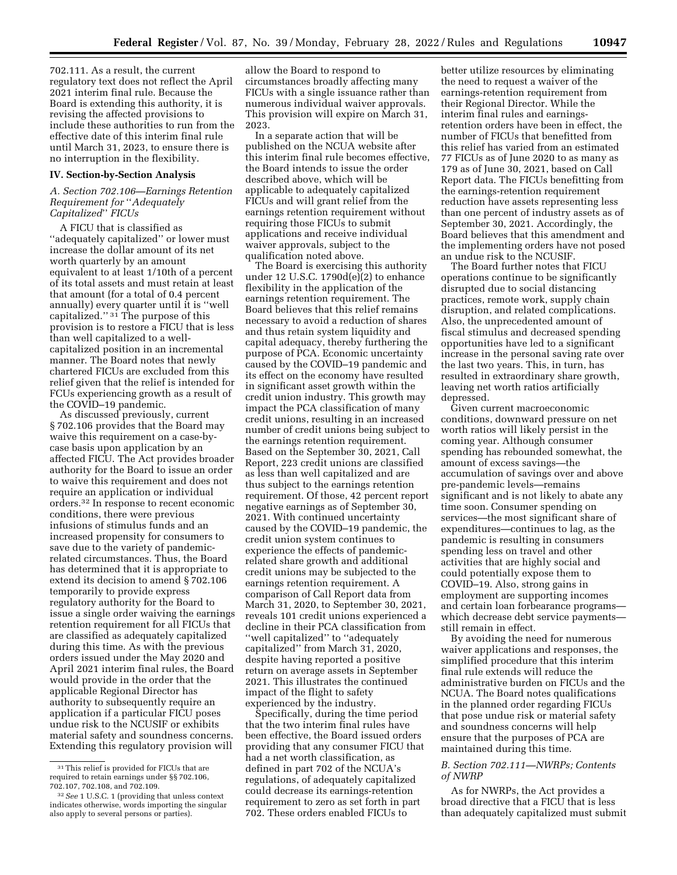702.111. As a result, the current regulatory text does not reflect the April 2021 interim final rule. Because the Board is extending this authority, it is revising the affected provisions to include these authorities to run from the effective date of this interim final rule until March 31, 2023, to ensure there is no interruption in the flexibility.

#### **IV. Section-by-Section Analysis**

# *A. Section 702.106—Earnings Retention Requirement for* ''*Adequately Capitalized*'' *FICUs*

A FICU that is classified as ''adequately capitalized'' or lower must increase the dollar amount of its net worth quarterly by an amount equivalent to at least 1/10th of a percent of its total assets and must retain at least that amount (for a total of 0.4 percent annually) every quarter until it is ''well capitalized."<sup>31</sup> The purpose of this provision is to restore a FICU that is less than well capitalized to a wellcapitalized position in an incremental manner. The Board notes that newly chartered FICUs are excluded from this relief given that the relief is intended for FCUs experiencing growth as a result of the COVID–19 pandemic.

As discussed previously, current § 702.106 provides that the Board may waive this requirement on a case-bycase basis upon application by an affected FICU. The Act provides broader authority for the Board to issue an order to waive this requirement and does not require an application or individual orders.32 In response to recent economic conditions, there were previous infusions of stimulus funds and an increased propensity for consumers to save due to the variety of pandemicrelated circumstances. Thus, the Board has determined that it is appropriate to extend its decision to amend § 702.106 temporarily to provide express regulatory authority for the Board to issue a single order waiving the earnings retention requirement for all FICUs that are classified as adequately capitalized during this time. As with the previous orders issued under the May 2020 and April 2021 interim final rules, the Board would provide in the order that the applicable Regional Director has authority to subsequently require an application if a particular FICU poses undue risk to the NCUSIF or exhibits material safety and soundness concerns. Extending this regulatory provision will

allow the Board to respond to circumstances broadly affecting many FICUs with a single issuance rather than numerous individual waiver approvals. This provision will expire on March 31, 2023.

In a separate action that will be published on the NCUA website after this interim final rule becomes effective, the Board intends to issue the order described above, which will be applicable to adequately capitalized FICUs and will grant relief from the earnings retention requirement without requiring those FICUs to submit applications and receive individual waiver approvals, subject to the qualification noted above.

The Board is exercising this authority under 12 U.S.C. 1790d(e)(2) to enhance flexibility in the application of the earnings retention requirement. The Board believes that this relief remains necessary to avoid a reduction of shares and thus retain system liquidity and capital adequacy, thereby furthering the purpose of PCA. Economic uncertainty caused by the COVID–19 pandemic and its effect on the economy have resulted in significant asset growth within the credit union industry. This growth may impact the PCA classification of many credit unions, resulting in an increased number of credit unions being subject to the earnings retention requirement. Based on the September 30, 2021, Call Report, 223 credit unions are classified as less than well capitalized and are thus subject to the earnings retention requirement. Of those, 42 percent report negative earnings as of September 30, 2021. With continued uncertainty caused by the COVID–19 pandemic, the credit union system continues to experience the effects of pandemicrelated share growth and additional credit unions may be subjected to the earnings retention requirement. A comparison of Call Report data from March 31, 2020, to September 30, 2021, reveals 101 credit unions experienced a decline in their PCA classification from ''well capitalized'' to ''adequately capitalized'' from March 31, 2020, despite having reported a positive return on average assets in September 2021. This illustrates the continued impact of the flight to safety experienced by the industry.

Specifically, during the time period that the two interim final rules have been effective, the Board issued orders providing that any consumer FICU that had a net worth classification, as defined in part 702 of the NCUA's regulations, of adequately capitalized could decrease its earnings-retention requirement to zero as set forth in part 702. These orders enabled FICUs to

better utilize resources by eliminating the need to request a waiver of the earnings-retention requirement from their Regional Director. While the interim final rules and earningsretention orders have been in effect, the number of FICUs that benefitted from this relief has varied from an estimated 77 FICUs as of June 2020 to as many as 179 as of June 30, 2021, based on Call Report data. The FICUs benefitting from the earnings-retention requirement reduction have assets representing less than one percent of industry assets as of September 30, 2021. Accordingly, the Board believes that this amendment and the implementing orders have not posed an undue risk to the NCUSIF.

The Board further notes that FICU operations continue to be significantly disrupted due to social distancing practices, remote work, supply chain disruption, and related complications. Also, the unprecedented amount of fiscal stimulus and decreased spending opportunities have led to a significant increase in the personal saving rate over the last two years. This, in turn, has resulted in extraordinary share growth, leaving net worth ratios artificially depressed.

Given current macroeconomic conditions, downward pressure on net worth ratios will likely persist in the coming year. Although consumer spending has rebounded somewhat, the amount of excess savings—the accumulation of savings over and above pre-pandemic levels—remains significant and is not likely to abate any time soon. Consumer spending on services—the most significant share of expenditures—continues to lag, as the pandemic is resulting in consumers spending less on travel and other activities that are highly social and could potentially expose them to COVID–19. Also, strong gains in employment are supporting incomes and certain loan forbearance programs which decrease debt service payments still remain in effect.

By avoiding the need for numerous waiver applications and responses, the simplified procedure that this interim final rule extends will reduce the administrative burden on FICUs and the NCUA. The Board notes qualifications in the planned order regarding FICUs that pose undue risk or material safety and soundness concerns will help ensure that the purposes of PCA are maintained during this time.

# *B. Section 702.111—NWRPs; Contents of NWRP*

As for NWRPs, the Act provides a broad directive that a FICU that is less than adequately capitalized must submit

<sup>31</sup>This relief is provided for FICUs that are required to retain earnings under §§ 702.106, 702.107, 702.108, and 702.109.

<sup>32</sup>*See* 1 U.S.C. 1 (providing that unless context indicates otherwise, words importing the singular also apply to several persons or parties).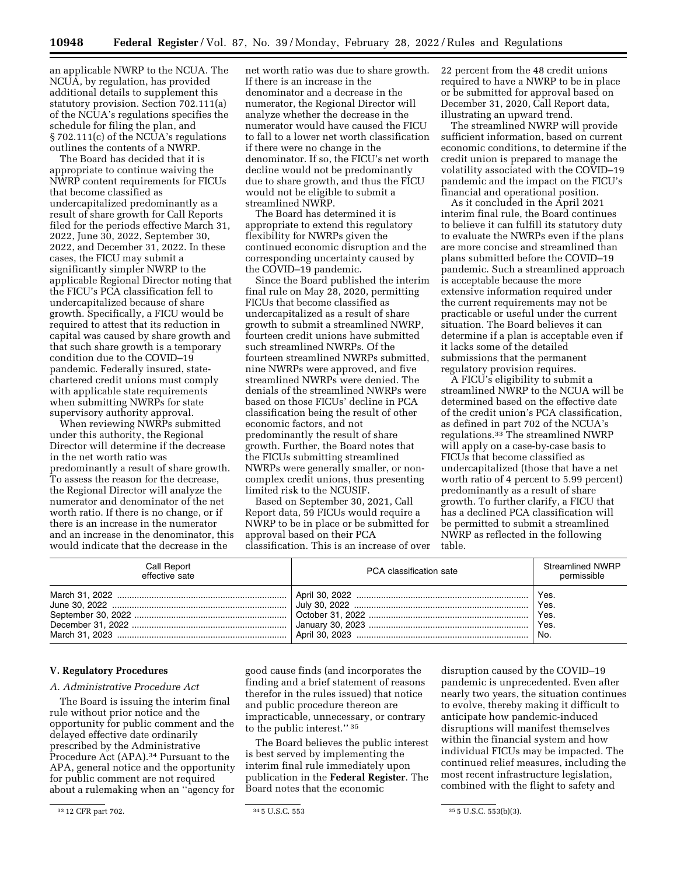an applicable NWRP to the NCUA. The NCUA, by regulation, has provided additional details to supplement this statutory provision. Section 702.111(a) of the NCUA's regulations specifies the schedule for filing the plan, and § 702.111(c) of the NCUA's regulations outlines the contents of a NWRP.

The Board has decided that it is appropriate to continue waiving the NWRP content requirements for FICUs that become classified as undercapitalized predominantly as a result of share growth for Call Reports filed for the periods effective March 31, 2022, June 30, 2022, September 30, 2022, and December 31, 2022. In these cases, the FICU may submit a significantly simpler NWRP to the applicable Regional Director noting that the FICU's PCA classification fell to undercapitalized because of share growth. Specifically, a FICU would be required to attest that its reduction in capital was caused by share growth and that such share growth is a temporary condition due to the COVID–19 pandemic. Federally insured, statechartered credit unions must comply with applicable state requirements when submitting NWRPs for state supervisory authority approval.

When reviewing NWRPs submitted under this authority, the Regional Director will determine if the decrease in the net worth ratio was predominantly a result of share growth. To assess the reason for the decrease, the Regional Director will analyze the numerator and denominator of the net worth ratio. If there is no change, or if there is an increase in the numerator and an increase in the denominator, this would indicate that the decrease in the

net worth ratio was due to share growth. If there is an increase in the denominator and a decrease in the numerator, the Regional Director will analyze whether the decrease in the numerator would have caused the FICU to fall to a lower net worth classification if there were no change in the denominator. If so, the FICU's net worth decline would not be predominantly due to share growth, and thus the FICU would not be eligible to submit a streamlined NWRP.

The Board has determined it is appropriate to extend this regulatory flexibility for NWRPs given the continued economic disruption and the corresponding uncertainty caused by the COVID–19 pandemic.

Since the Board published the interim final rule on May 28, 2020, permitting FICUs that become classified as undercapitalized as a result of share growth to submit a streamlined NWRP, fourteen credit unions have submitted such streamlined NWRPs. Of the fourteen streamlined NWRPs submitted, nine NWRPs were approved, and five streamlined NWRPs were denied. The denials of the streamlined NWRPs were based on those FICUs' decline in PCA classification being the result of other economic factors, and not predominantly the result of share growth. Further, the Board notes that the FICUs submitting streamlined NWRPs were generally smaller, or noncomplex credit unions, thus presenting limited risk to the NCUSIF.

Based on September 30, 2021, Call Report data, 59 FICUs would require a NWRP to be in place or be submitted for approval based on their PCA classification. This is an increase of over 22 percent from the 48 credit unions required to have a NWRP to be in place or be submitted for approval based on December 31, 2020, Call Report data, illustrating an upward trend.

The streamlined NWRP will provide sufficient information, based on current economic conditions, to determine if the credit union is prepared to manage the volatility associated with the COVID–19 pandemic and the impact on the FICU's financial and operational position.

As it concluded in the April 2021 interim final rule, the Board continues to believe it can fulfill its statutory duty to evaluate the NWRPs even if the plans are more concise and streamlined than plans submitted before the COVID–19 pandemic. Such a streamlined approach is acceptable because the more extensive information required under the current requirements may not be practicable or useful under the current situation. The Board believes it can determine if a plan is acceptable even if it lacks some of the detailed submissions that the permanent regulatory provision requires.

A FICU's eligibility to submit a streamlined NWRP to the NCUA will be determined based on the effective date of the credit union's PCA classification, as defined in part 702 of the NCUA's regulations.33 The streamlined NWRP will apply on a case-by-case basis to FICUs that become classified as undercapitalized (those that have a net worth ratio of 4 percent to 5.99 percent) predominantly as a result of share growth. To further clarify, a FICU that has a declined PCA classification will be permitted to submit a streamlined NWRP as reflected in the following table.

| Call Report<br>effective sate | PCA classification sate                                                                | <b>Streamlined NWRP</b><br>permissible |
|-------------------------------|----------------------------------------------------------------------------------------|----------------------------------------|
|                               | March 31, 2022 ……………………………………………………………   April 30, 2022 ……………………………………………………………   Yes. | ' No.                                  |

# **V. Regulatory Procedures**

#### *A. Administrative Procedure Act*

The Board is issuing the interim final rule without prior notice and the opportunity for public comment and the delayed effective date ordinarily prescribed by the Administrative Procedure Act (APA).<sup>34</sup> Pursuant to the APA, general notice and the opportunity for public comment are not required about a rulemaking when an ''agency for

good cause finds (and incorporates the finding and a brief statement of reasons therefor in the rules issued) that notice and public procedure thereon are impracticable, unnecessary, or contrary to the public interest.'' 35

The Board believes the public interest is best served by implementing the interim final rule immediately upon publication in the **Federal Register**. The Board notes that the economic

disruption caused by the COVID–19 pandemic is unprecedented. Even after nearly two years, the situation continues to evolve, thereby making it difficult to anticipate how pandemic-induced disruptions will manifest themselves within the financial system and how individual FICUs may be impacted. The continued relief measures, including the most recent infrastructure legislation, combined with the flight to safety and

 $3^3$  12 CFR part 702.  $3^4$  5 U.S.C. 553  $3^5$  5 U.S.C. 553(b)(3).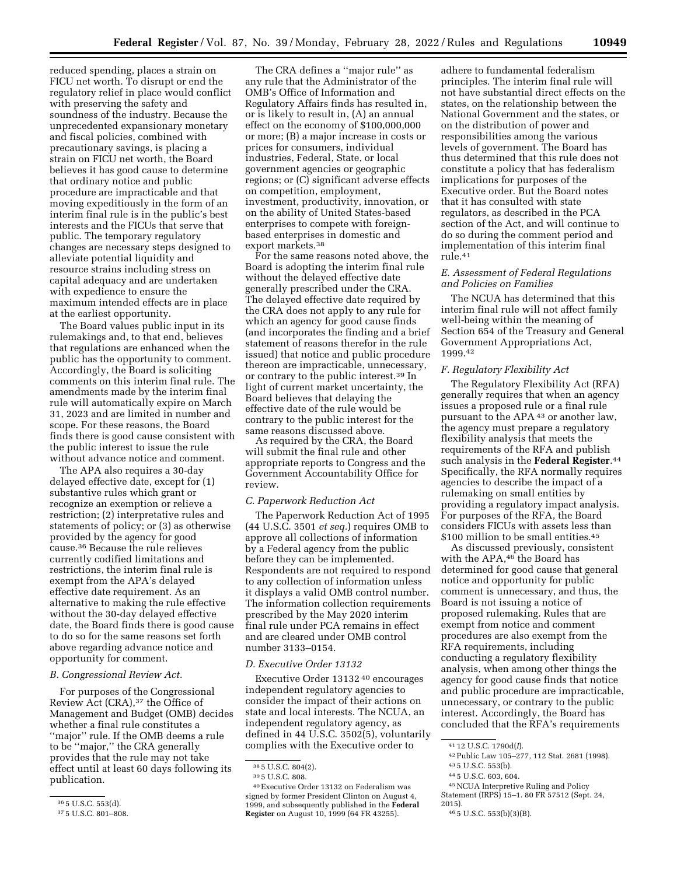reduced spending, places a strain on FICU net worth. To disrupt or end the regulatory relief in place would conflict with preserving the safety and soundness of the industry. Because the unprecedented expansionary monetary and fiscal policies, combined with precautionary savings, is placing a strain on FICU net worth, the Board believes it has good cause to determine that ordinary notice and public procedure are impracticable and that moving expeditiously in the form of an interim final rule is in the public's best interests and the FICUs that serve that public. The temporary regulatory changes are necessary steps designed to alleviate potential liquidity and resource strains including stress on capital adequacy and are undertaken with expedience to ensure the maximum intended effects are in place at the earliest opportunity.

The Board values public input in its rulemakings and, to that end, believes that regulations are enhanced when the public has the opportunity to comment. Accordingly, the Board is soliciting comments on this interim final rule. The amendments made by the interim final rule will automatically expire on March 31, 2023 and are limited in number and scope. For these reasons, the Board finds there is good cause consistent with the public interest to issue the rule without advance notice and comment.

The APA also requires a 30-day delayed effective date, except for (1) substantive rules which grant or recognize an exemption or relieve a restriction; (2) interpretative rules and statements of policy; or (3) as otherwise provided by the agency for good cause.36 Because the rule relieves currently codified limitations and restrictions, the interim final rule is exempt from the APA's delayed effective date requirement. As an alternative to making the rule effective without the 30-day delayed effective date, the Board finds there is good cause to do so for the same reasons set forth above regarding advance notice and opportunity for comment.

#### *B. Congressional Review Act.*

For purposes of the Congressional Review Act (CRA),37 the Office of Management and Budget (OMB) decides whether a final rule constitutes a ''major'' rule. If the OMB deems a rule to be ''major,'' the CRA generally provides that the rule may not take effect until at least 60 days following its publication.

The CRA defines a ''major rule'' as any rule that the Administrator of the OMB's Office of Information and Regulatory Affairs finds has resulted in, or is likely to result in, (A) an annual effect on the economy of \$100,000,000 or more; (B) a major increase in costs or prices for consumers, individual industries, Federal, State, or local government agencies or geographic regions; or (C) significant adverse effects on competition, employment, investment, productivity, innovation, or on the ability of United States-based enterprises to compete with foreignbased enterprises in domestic and export markets.38

For the same reasons noted above, the Board is adopting the interim final rule without the delayed effective date generally prescribed under the CRA. The delayed effective date required by the CRA does not apply to any rule for which an agency for good cause finds (and incorporates the finding and a brief statement of reasons therefor in the rule issued) that notice and public procedure thereon are impracticable, unnecessary, or contrary to the public interest.39 In light of current market uncertainty, the Board believes that delaying the effective date of the rule would be contrary to the public interest for the same reasons discussed above.

As required by the CRA, the Board will submit the final rule and other appropriate reports to Congress and the Government Accountability Office for review.

# *C. Paperwork Reduction Act*

The Paperwork Reduction Act of 1995 (44 U.S.C. 3501 *et seq.*) requires OMB to approve all collections of information by a Federal agency from the public before they can be implemented. Respondents are not required to respond to any collection of information unless it displays a valid OMB control number. The information collection requirements prescribed by the May 2020 interim final rule under PCA remains in effect and are cleared under OMB control number 3133–0154.

#### *D. Executive Order 13132*

Executive Order 13132 40 encourages independent regulatory agencies to consider the impact of their actions on state and local interests. The NCUA, an independent regulatory agency, as defined in 44 U.S.C. 3502(5), voluntarily complies with the Executive order to

adhere to fundamental federalism principles. The interim final rule will not have substantial direct effects on the states, on the relationship between the National Government and the states, or on the distribution of power and responsibilities among the various levels of government. The Board has thus determined that this rule does not constitute a policy that has federalism implications for purposes of the Executive order. But the Board notes that it has consulted with state regulators, as described in the PCA section of the Act, and will continue to do so during the comment period and implementation of this interim final rule.41

# *E. Assessment of Federal Regulations and Policies on Families*

The NCUA has determined that this interim final rule will not affect family well-being within the meaning of Section 654 of the Treasury and General Government Appropriations Act, 1999.42

# *F. Regulatory Flexibility Act*

The Regulatory Flexibility Act (RFA) generally requires that when an agency issues a proposed rule or a final rule pursuant to the APA 43 or another law, the agency must prepare a regulatory flexibility analysis that meets the requirements of the RFA and publish such analysis in the **Federal Register**.44 Specifically, the RFA normally requires agencies to describe the impact of a rulemaking on small entities by providing a regulatory impact analysis. For purposes of the RFA, the Board considers FICUs with assets less than \$100 million to be small entities.<sup>45</sup>

As discussed previously, consistent with the APA,<sup>46</sup> the Board has determined for good cause that general notice and opportunity for public comment is unnecessary, and thus, the Board is not issuing a notice of proposed rulemaking. Rules that are exempt from notice and comment procedures are also exempt from the RFA requirements, including conducting a regulatory flexibility analysis, when among other things the agency for good cause finds that notice and public procedure are impracticable, unnecessary, or contrary to the public interest. Accordingly, the Board has concluded that the RFA's requirements

44 5 U.S.C. 603, 604.

46 5 U.S.C. 553(b)(3)(B).

<sup>36</sup> 5 U.S.C. 553(d).

<sup>37</sup> 5 U.S.C. 801–808.

<sup>38</sup> 5 U.S.C. 804(2).

<sup>39</sup> 5 U.S.C. 808.

<sup>40</sup>Executive Order 13132 on Federalism was signed by former President Clinton on August 4, 1999, and subsequently published in the **Federal Register** on August 10, 1999 (64 FR 43255).

<sup>41</sup> 12 U.S.C. 1790d(*I*).

<sup>42</sup>Public Law 105–277, 112 Stat. 2681 (1998).

<sup>43</sup> 5 U.S.C. 553(b).

<sup>45</sup>NCUA Interpretive Ruling and Policy Statement (IRPS) 15–1. 80 FR 57512 (Sept. 24,

<sup>2015).</sup>